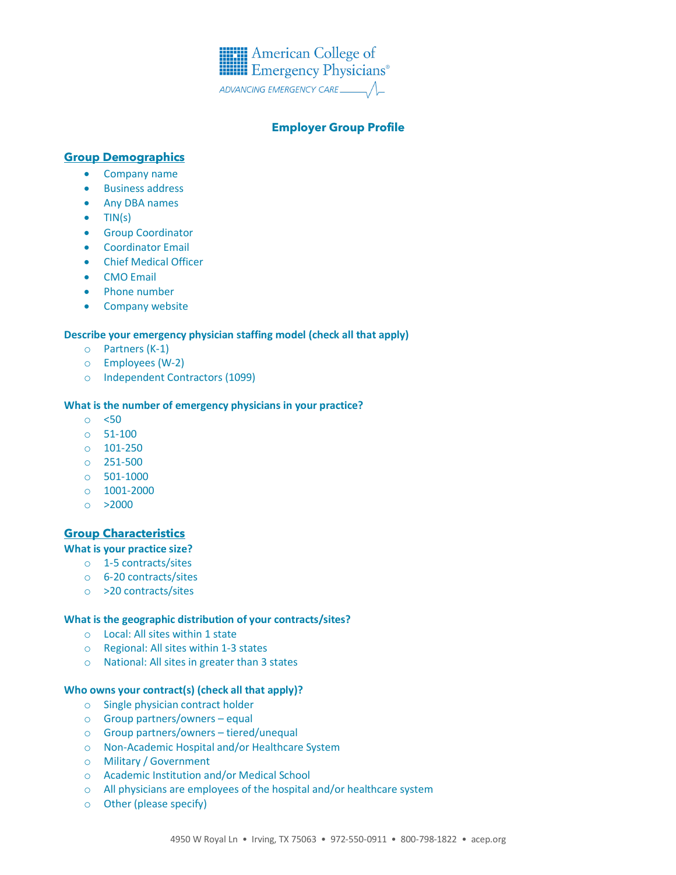

# **Employer Group Profile**

## **Group Demographics**

- Company name
- Business address
- Any DBA names
- $\bullet$  TIN(s)
- Group Coordinator
- Coordinator Email
- Chief Medical Officer
- CMO Email
- Phone number
- Company website

### **Describe your emergency physician staffing model (check all that apply)**

- o Partners (K-1)
- o Employees (W-2)
- o Independent Contractors (1099)

#### **What is the number of emergency physicians in your practice?**

- o <50
- o 51-100
- o 101-250
- o 251-500
- o 501-1000
- o 1001-2000
- $o > 2000$

### **Group Characteristics**

### **What is your practice size?**

- o 1-5 contracts/sites
- o 6-20 contracts/sites
- o >20 contracts/sites

## **What is the geographic distribution of your contracts/sites?**

- o Local: All sites within 1 state
- o Regional: All sites within 1-3 states
- o National: All sites in greater than 3 states

### **Who owns your contract(s) (check all that apply)?**

- o Single physician contract holder
- o Group partners/owners equal
- o Group partners/owners tiered/unequal
- o Non-Academic Hospital and/or Healthcare System
- o Military / Government
- o Academic Institution and/or Medical School
- o All physicians are employees of the hospital and/or healthcare system
- o Other (please specify)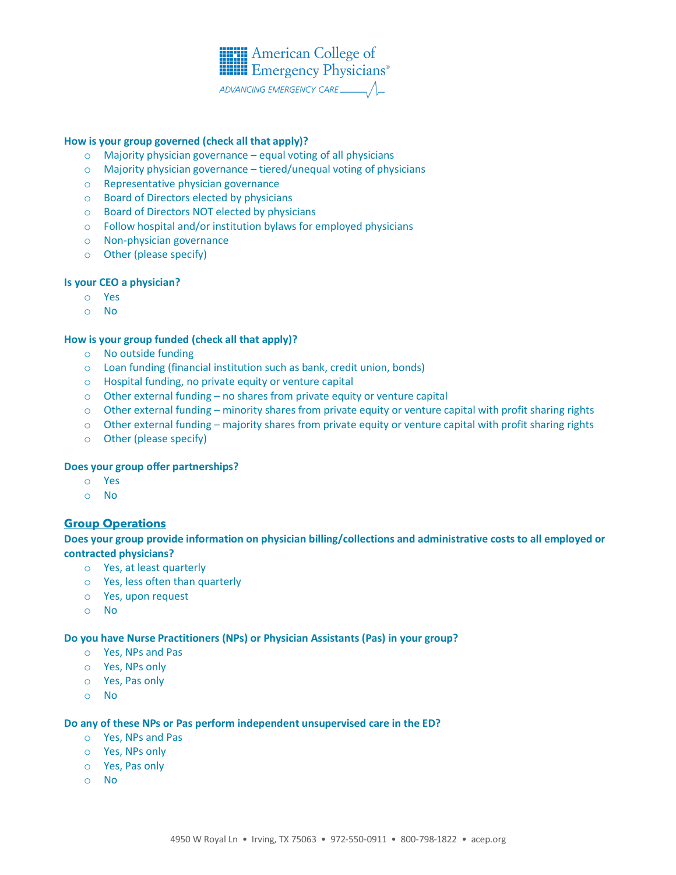

### **How is your group governed (check all that apply)?**

- o Majority physician governance equal voting of all physicians
- o Majority physician governance tiered/unequal voting of physicians
- o Representative physician governance
- o Board of Directors elected by physicians
- o Board of Directors NOT elected by physicians
- o Follow hospital and/or institution bylaws for employed physicians
- o Non-physician governance
- o Other (please specify)

#### **Is your CEO a physician?**

- o Yes
- o No

#### **How is your group funded (check all that apply)?**

- o No outside funding
- o Loan funding (financial institution such as bank, credit union, bonds)
- o Hospital funding, no private equity or venture capital
- o Other external funding no shares from private equity or venture capital
- o Other external funding minority shares from private equity or venture capital with profit sharing rights
- o Other external funding majority shares from private equity or venture capital with profit sharing rights
- o Other (please specify)

#### **Does your group offer partnerships?**

- o Yes
- o No

### **Group Operations**

**Does your group provide information on physician billing/collections and administrative costs to all employed or contracted physicians?**

- o Yes, at least quarterly
- o Yes, less often than quarterly
- o Yes, upon request
- o No

#### **Do you have Nurse Practitioners (NPs) or Physician Assistants (Pas) in your group?**

- o Yes, NPs and Pas
- o Yes, NPs only
- o Yes, Pas only
- o No

#### **Do any of these NPs or Pas perform independent unsupervised care in the ED?**

- o Yes, NPs and Pas
- o Yes, NPs only
- o Yes, Pas only
- o No